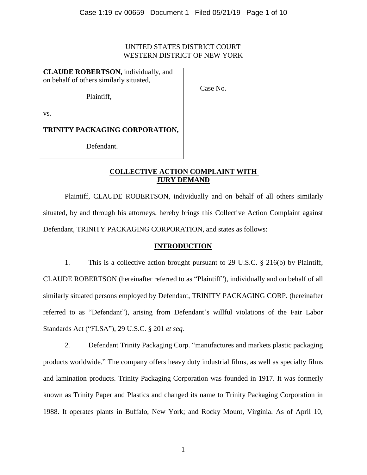### UNITED STATES DISTRICT COURT WESTERN DISTRICT OF NEW YORK

**CLAUDE ROBERTSON,** individually, and on behalf of others similarly situated,

Plaintiff,

Case No.

vs.

**TRINITY PACKAGING CORPORATION,**

Defendant.

## **COLLECTIVE ACTION COMPLAINT WITH JURY DEMAND**

Plaintiff, CLAUDE ROBERTSON, individually and on behalf of all others similarly situated, by and through his attorneys, hereby brings this Collective Action Complaint against Defendant, TRINITY PACKAGING CORPORATION, and states as follows:

### **INTRODUCTION**

1. This is a collective action brought pursuant to 29 U.S.C. § 216(b) by Plaintiff, CLAUDE ROBERTSON (hereinafter referred to as "Plaintiff"), individually and on behalf of all similarly situated persons employed by Defendant, TRINITY PACKAGING CORP. (hereinafter referred to as "Defendant"), arising from Defendant's willful violations of the Fair Labor Standards Act ("FLSA"), 29 U.S.C. § 201 *et seq.*

2. Defendant Trinity Packaging Corp. "manufactures and markets plastic packaging products worldwide." The company offers heavy duty industrial films, as well as specialty films and lamination products. Trinity Packaging Corporation was founded in 1917. It was formerly known as Trinity Paper and Plastics and changed its name to Trinity Packaging Corporation in 1988. It operates plants in Buffalo, New York; and Rocky Mount, Virginia. As of April 10,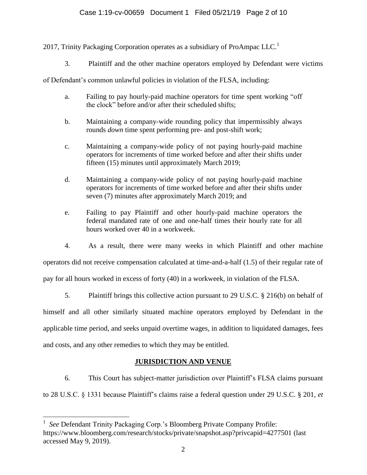2017, Trinity Packaging Corporation operates as a subsidiary of ProAmpac LLC.<sup>1</sup>

3. Plaintiff and the other machine operators employed by Defendant were victims

of Defendant's common unlawful policies in violation of the FLSA, including:

- a. Failing to pay hourly-paid machine operators for time spent working "off the clock" before and/or after their scheduled shifts;
- b. Maintaining a company-wide rounding policy that impermissibly always rounds *down* time spent performing pre- and post-shift work;
- c. Maintaining a company-wide policy of not paying hourly-paid machine operators for increments of time worked before and after their shifts under fifteen (15) minutes until approximately March 2019;
- d. Maintaining a company-wide policy of not paying hourly-paid machine operators for increments of time worked before and after their shifts under seven (7) minutes after approximately March 2019; and
- e. Failing to pay Plaintiff and other hourly-paid machine operators the federal mandated rate of one and one-half times their hourly rate for all hours worked over 40 in a workweek.
- 4. As a result, there were many weeks in which Plaintiff and other machine

operators did not receive compensation calculated at time-and-a-half (1.5) of their regular rate of

pay for all hours worked in excess of forty (40) in a workweek, in violation of the FLSA.

5. Plaintiff brings this collective action pursuant to 29 U.S.C. § 216(b) on behalf of

himself and all other similarly situated machine operators employed by Defendant in the applicable time period, and seeks unpaid overtime wages, in addition to liquidated damages, fees and costs, and any other remedies to which they may be entitled.

# **JURISDICTION AND VENUE**

6. This Court has subject-matter jurisdiction over Plaintiff's FLSA claims pursuant to 28 U.S.C. § 1331 because Plaintiff's claims raise a federal question under 29 U.S.C. § 201, *et* 

<sup>1</sup> *See* Defendant Trinity Packaging Corp.'s Bloomberg Private Company Profile: https://www.bloomberg.com/research/stocks/private/snapshot.asp?privcapid=4277501 (last accessed May 9, 2019).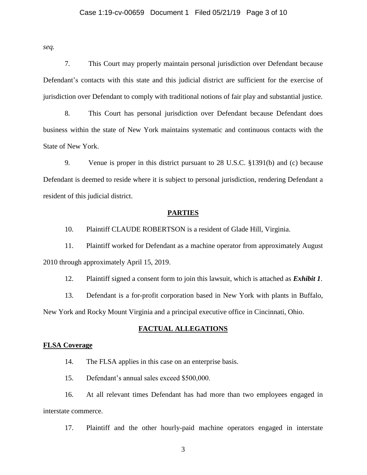#### Case 1:19-cv-00659 Document 1 Filed 05/21/19 Page 3 of 10

*seq.*

7. This Court may properly maintain personal jurisdiction over Defendant because Defendant's contacts with this state and this judicial district are sufficient for the exercise of jurisdiction over Defendant to comply with traditional notions of fair play and substantial justice.

8. This Court has personal jurisdiction over Defendant because Defendant does business within the state of New York maintains systematic and continuous contacts with the State of New York.

9. Venue is proper in this district pursuant to 28 U.S.C. §1391(b) and (c) because Defendant is deemed to reside where it is subject to personal jurisdiction, rendering Defendant a resident of this judicial district.

#### **PARTIES**

10. Plaintiff CLAUDE ROBERTSON is a resident of Glade Hill, Virginia.

11. Plaintiff worked for Defendant as a machine operator from approximately August 2010 through approximately April 15, 2019.

12. Plaintiff signed a consent form to join this lawsuit, which is attached as *Exhibit 1*.

13. Defendant is a for-profit corporation based in New York with plants in Buffalo, New York and Rocky Mount Virginia and a principal executive office in Cincinnati, Ohio.

#### **FACTUAL ALLEGATIONS**

#### **FLSA Coverage**

14. The FLSA applies in this case on an enterprise basis.

15. Defendant's annual sales exceed \$500,000.

16. At all relevant times Defendant has had more than two employees engaged in interstate commerce.

17. Plaintiff and the other hourly-paid machine operators engaged in interstate

3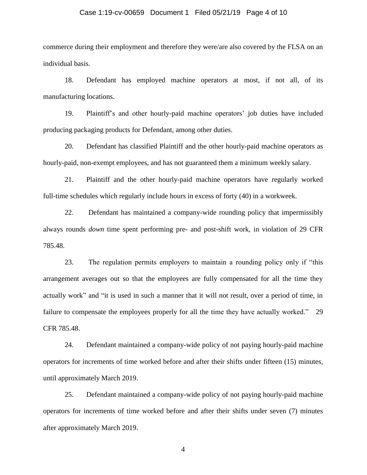#### Case 1:19-cv-00659 Document 1 Filed 05/21/19 Page 4 of 10

commerce during their employment and therefore they were/are also covered by the FLSA on an individual basis.

18. Defendant has employed machine operators at most, if not all, of its manufacturing locations.

19. Plaintiff's and other hourly-paid machine operators' job duties have included producing packaging products for Defendant, among other duties.

20. Defendant has classified Plaintiff and the other hourly-paid machine operators as hourly-paid, non-exempt employees, and has not guaranteed them a minimum weekly salary.

21. Plaintiff and the other hourly-paid machine operators have regularly worked full-time schedules which regularly include hours in excess of forty (40) in a workweek.

22. Defendant has maintained a company-wide rounding policy that impermissibly always rounds *down* time spent performing pre- and post-shift work, in violation of 29 CFR 785.48.

23. The regulation permits employers to maintain a rounding policy only if "this arrangement averages out so that the employees are fully compensated for all the time they actually work" and "it is used in such a manner that it will not result, over a period of time, in failure to compensate the employees properly for all the time they have actually worked." 29 CFR 785.48.

24. Defendant maintained a company-wide policy of not paying hourly-paid machine operators for increments of time worked before and after their shifts under fifteen (15) minutes, until approximately March 2019.

25. Defendant maintained a company-wide policy of not paying hourly-paid machine operators for increments of time worked before and after their shifts under seven (7) minutes after approximately March 2019.

4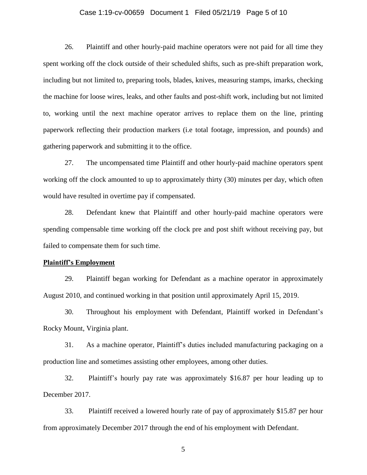#### Case 1:19-cv-00659 Document 1 Filed 05/21/19 Page 5 of 10

26. Plaintiff and other hourly-paid machine operators were not paid for all time they spent working off the clock outside of their scheduled shifts, such as pre-shift preparation work, including but not limited to, preparing tools, blades, knives, measuring stamps, imarks, checking the machine for loose wires, leaks, and other faults and post-shift work, including but not limited to, working until the next machine operator arrives to replace them on the line, printing paperwork reflecting their production markers (i.e total footage, impression, and pounds) and gathering paperwork and submitting it to the office.

27. The uncompensated time Plaintiff and other hourly-paid machine operators spent working off the clock amounted to up to approximately thirty (30) minutes per day, which often would have resulted in overtime pay if compensated.

28. Defendant knew that Plaintiff and other hourly-paid machine operators were spending compensable time working off the clock pre and post shift without receiving pay, but failed to compensate them for such time.

#### **Plaintiff's Employment**

29. Plaintiff began working for Defendant as a machine operator in approximately August 2010, and continued working in that position until approximately April 15, 2019.

30. Throughout his employment with Defendant, Plaintiff worked in Defendant's Rocky Mount, Virginia plant.

31. As a machine operator, Plaintiff's duties included manufacturing packaging on a production line and sometimes assisting other employees, among other duties.

32. Plaintiff's hourly pay rate was approximately \$16.87 per hour leading up to December 2017.

33. Plaintiff received a lowered hourly rate of pay of approximately \$15.87 per hour from approximately December 2017 through the end of his employment with Defendant.

5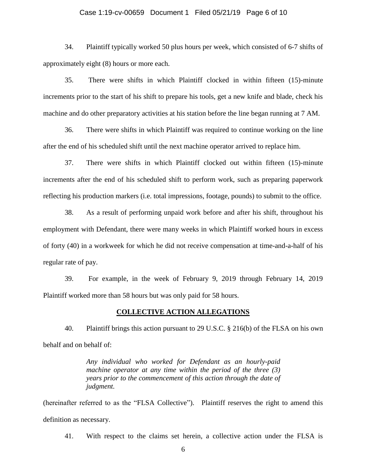#### Case 1:19-cv-00659 Document 1 Filed 05/21/19 Page 6 of 10

34. Plaintiff typically worked 50 plus hours per week, which consisted of 6-7 shifts of approximately eight (8) hours or more each.

35. There were shifts in which Plaintiff clocked in within fifteen (15)-minute increments prior to the start of his shift to prepare his tools, get a new knife and blade, check his machine and do other preparatory activities at his station before the line began running at 7 AM.

36. There were shifts in which Plaintiff was required to continue working on the line after the end of his scheduled shift until the next machine operator arrived to replace him.

37. There were shifts in which Plaintiff clocked out within fifteen (15)-minute increments after the end of his scheduled shift to perform work, such as preparing paperwork reflecting his production markers (i.e. total impressions, footage, pounds) to submit to the office.

38. As a result of performing unpaid work before and after his shift, throughout his employment with Defendant, there were many weeks in which Plaintiff worked hours in excess of forty (40) in a workweek for which he did not receive compensation at time-and-a-half of his regular rate of pay.

39. For example, in the week of February 9, 2019 through February 14, 2019 Plaintiff worked more than 58 hours but was only paid for 58 hours.

#### **COLLECTIVE ACTION ALLEGATIONS**

40. Plaintiff brings this action pursuant to 29 U.S.C. § 216(b) of the FLSA on his own behalf and on behalf of:

> *Any individual who worked for Defendant as an hourly-paid machine operator at any time within the period of the three (3) years prior to the commencement of this action through the date of judgment.*

(hereinafter referred to as the "FLSA Collective"). Plaintiff reserves the right to amend this definition as necessary.

41. With respect to the claims set herein, a collective action under the FLSA is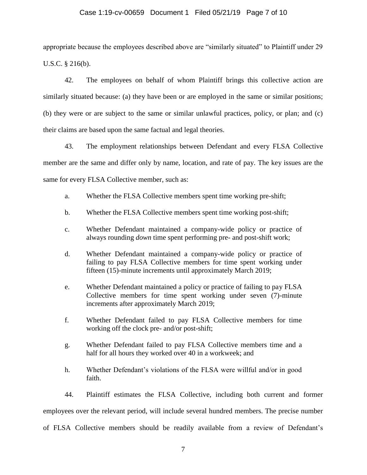### Case 1:19-cv-00659 Document 1 Filed 05/21/19 Page 7 of 10

appropriate because the employees described above are "similarly situated" to Plaintiff under 29 U.S.C. § 216(b).

42. The employees on behalf of whom Plaintiff brings this collective action are similarly situated because: (a) they have been or are employed in the same or similar positions; (b) they were or are subject to the same or similar unlawful practices, policy, or plan; and (c) their claims are based upon the same factual and legal theories.

43. The employment relationships between Defendant and every FLSA Collective member are the same and differ only by name, location, and rate of pay. The key issues are the same for every FLSA Collective member, such as:

- a. Whether the FLSA Collective members spent time working pre-shift;
- b. Whether the FLSA Collective members spent time working post-shift;
- c. Whether Defendant maintained a company-wide policy or practice of always rounding *down* time spent performing pre- and post-shift work;
- d. Whether Defendant maintained a company-wide policy or practice of failing to pay FLSA Collective members for time spent working under fifteen (15)-minute increments until approximately March 2019;
- e. Whether Defendant maintained a policy or practice of failing to pay FLSA Collective members for time spent working under seven (7)-minute increments after approximately March 2019;
- f. Whether Defendant failed to pay FLSA Collective members for time working off the clock pre- and/or post-shift;
- g. Whether Defendant failed to pay FLSA Collective members time and a half for all hours they worked over 40 in a workweek; and
- h. Whether Defendant's violations of the FLSA were willful and/or in good faith.
- 44. Plaintiff estimates the FLSA Collective, including both current and former

employees over the relevant period, will include several hundred members. The precise number

of FLSA Collective members should be readily available from a review of Defendant's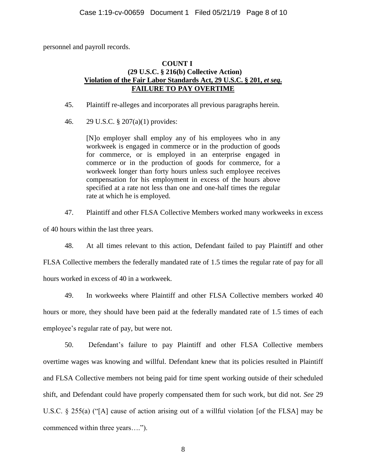personnel and payroll records.

## **COUNT I (29 U.S.C. § 216(b) Collective Action) Violation of the Fair Labor Standards Act, 29 U.S.C. § 201,** *et seq***. FAILURE TO PAY OVERTIME**

- 45. Plaintiff re-alleges and incorporates all previous paragraphs herein.
- 46. 29 U.S.C. § 207(a)(1) provides:

[N]o employer shall employ any of his employees who in any workweek is engaged in commerce or in the production of goods for commerce, or is employed in an enterprise engaged in commerce or in the production of goods for commerce, for a workweek longer than forty hours unless such employee receives compensation for his employment in excess of the hours above specified at a rate not less than one and one-half times the regular rate at which he is employed.

47. Plaintiff and other FLSA Collective Members worked many workweeks in excess

of 40 hours within the last three years.

48. At all times relevant to this action, Defendant failed to pay Plaintiff and other FLSA Collective members the federally mandated rate of 1.5 times the regular rate of pay for all hours worked in excess of 40 in a workweek.

49. In workweeks where Plaintiff and other FLSA Collective members worked 40 hours or more, they should have been paid at the federally mandated rate of 1.5 times of each employee's regular rate of pay, but were not.

50. Defendant's failure to pay Plaintiff and other FLSA Collective members overtime wages was knowing and willful. Defendant knew that its policies resulted in Plaintiff and FLSA Collective members not being paid for time spent working outside of their scheduled shift, and Defendant could have properly compensated them for such work, but did not. *See* 29 U.S.C. § 255(a) ("[A] cause of action arising out of a willful violation [of the FLSA] may be commenced within three years….").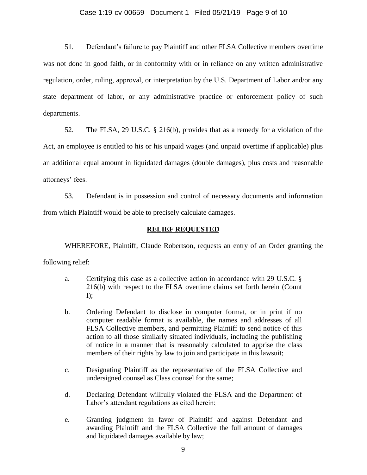### Case 1:19-cv-00659 Document 1 Filed 05/21/19 Page 9 of 10

51. Defendant's failure to pay Plaintiff and other FLSA Collective members overtime was not done in good faith, or in conformity with or in reliance on any written administrative regulation, order, ruling, approval, or interpretation by the U.S. Department of Labor and/or any state department of labor, or any administrative practice or enforcement policy of such departments.

52. The FLSA, 29 U.S.C. § 216(b), provides that as a remedy for a violation of the Act, an employee is entitled to his or his unpaid wages (and unpaid overtime if applicable) plus an additional equal amount in liquidated damages (double damages), plus costs and reasonable attorneys' fees.

53. Defendant is in possession and control of necessary documents and information from which Plaintiff would be able to precisely calculate damages.

#### **RELIEF REQUESTED**

WHEREFORE, Plaintiff, Claude Robertson, requests an entry of an Order granting the following relief:

- a. Certifying this case as a collective action in accordance with 29 U.S.C. § 216(b) with respect to the FLSA overtime claims set forth herein (Count  $I$ :
- b. Ordering Defendant to disclose in computer format, or in print if no computer readable format is available, the names and addresses of all FLSA Collective members, and permitting Plaintiff to send notice of this action to all those similarly situated individuals, including the publishing of notice in a manner that is reasonably calculated to apprise the class members of their rights by law to join and participate in this lawsuit;
- c. Designating Plaintiff as the representative of the FLSA Collective and undersigned counsel as Class counsel for the same;
- d. Declaring Defendant willfully violated the FLSA and the Department of Labor's attendant regulations as cited herein;
- e. Granting judgment in favor of Plaintiff and against Defendant and awarding Plaintiff and the FLSA Collective the full amount of damages and liquidated damages available by law;